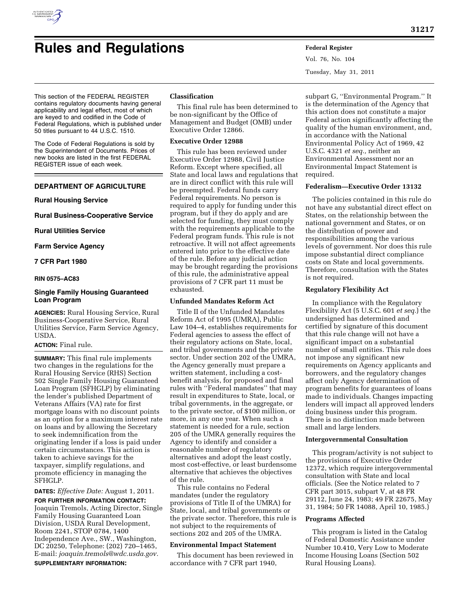

# **Rules and Regulations Federal Register**

Vol. 76, No. 104 Tuesday, May 31, 2011

This section of the FEDERAL REGISTER contains regulatory documents having general applicability and legal effect, most of which are keyed to and codified in the Code of Federal Regulations, which is published under 50 titles pursuant to 44 U.S.C. 1510.

The Code of Federal Regulations is sold by the Superintendent of Documents. Prices of new books are listed in the first FEDERAL REGISTER issue of each week.

# **DEPARTMENT OF AGRICULTURE**

# **Rural Housing Service**

**Rural Business-Cooperative Service** 

# **Rural Utilities Service**

**Farm Service Agency** 

# **7 CFR Part 1980**

## **RIN 0575–AC83**

# **Single Family Housing Guaranteed Loan Program**

**AGENCIES:** Rural Housing Service, Rural Business-Cooperative Service, Rural Utilities Service, Farm Service Agency, USDA.

# **ACTION:** Final rule.

**SUMMARY:** This final rule implements two changes in the regulations for the Rural Housing Service (RHS) Section 502 Single Family Housing Guaranteed Loan Program (SFHGLP) by eliminating the lender's published Department of Veterans Affairs (VA) rate for first mortgage loans with no discount points as an option for a maximum interest rate on loans and by allowing the Secretary to seek indemnification from the originating lender if a loss is paid under certain circumstances. This action is taken to achieve savings for the taxpayer, simplify regulations, and promote efficiency in managing the SFHGLP.

**DATES:** *Effective Date:* August 1, 2011.

**FOR FURTHER INFORMATION CONTACT:**  Joaquin Tremols, Acting Director, Single Family Housing Guaranteed Loan Division, USDA Rural Development, Room 2241, STOP 0784, 1400 Independence Ave., SW., Washington, DC 20250, Telephone: (202) 720–1465, E-mail: *[joaquin.tremols@wdc.usda.gov.](mailto:joaquin.tremols@wdc.usda.gov)*  **SUPPLEMENTARY INFORMATION:** 

# **Classification**

This final rule has been determined to be non-significant by the Office of Management and Budget (OMB) under Executive Order 12866.

# **Executive Order 12988**

This rule has been reviewed under Executive Order 12988, Civil Justice Reform. Except where specified, all State and local laws and regulations that are in direct conflict with this rule will be preempted. Federal funds carry Federal requirements. No person is required to apply for funding under this program, but if they do apply and are selected for funding, they must comply with the requirements applicable to the Federal program funds. This rule is not retroactive. It will not affect agreements entered into prior to the effective date of the rule. Before any judicial action may be brought regarding the provisions of this rule, the administrative appeal provisions of 7 CFR part 11 must be exhausted.

## **Unfunded Mandates Reform Act**

Title II of the Unfunded Mandates Reform Act of 1995 (UMRA), Public Law 104–4, establishes requirements for Federal agencies to assess the effect of their regulatory actions on State, local, and tribal governments and the private sector. Under section 202 of the UMRA, the Agency generally must prepare a written statement, including a costbenefit analysis, for proposed and final rules with ''Federal mandates'' that may result in expenditures to State, local, or tribal governments, in the aggregate, or to the private sector, of \$100 million, or more, in any one year. When such a statement is needed for a rule, section 205 of the UMRA generally requires the Agency to identify and consider a reasonable number of regulatory alternatives and adopt the least costly, most cost-effective, or least burdensome alternative that achieves the objectives of the rule.

This rule contains no Federal mandates (under the regulatory provisions of Title II of the UMRA) for State, local, and tribal governments or the private sector. Therefore, this rule is not subject to the requirements of sections 202 and 205 of the UMRA.

## **Environmental Impact Statement**

This document has been reviewed in accordance with 7 CFR part 1940,

subpart G, ''Environmental Program.'' It is the determination of the Agency that this action does not constitute a major Federal action significantly affecting the quality of the human environment, and, in accordance with the National Environmental Policy Act of 1969, 42 U.S.C. 4321 *et seq.,* neither an Environmental Assessment nor an Environmental Impact Statement is required.

#### **Federalism—Executive Order 13132**

The policies contained in this rule do not have any substantial direct effect on States, on the relationship between the national government and States, or on the distribution of power and responsibilities among the various levels of government. Nor does this rule impose substantial direct compliance costs on State and local governments. Therefore, consultation with the States is not required.

## **Regulatory Flexibility Act**

In compliance with the Regulatory Flexibility Act (5 U.S.C. 601 *et seq.*) the undersigned has determined and certified by signature of this document that this rule change will not have a significant impact on a substantial number of small entities. This rule does not impose any significant new requirements on Agency applicants and borrowers, and the regulatory changes affect only Agency determination of program benefits for guarantees of loans made to individuals. Changes impacting lenders will impact all approved lenders doing business under this program. There is no distinction made between small and large lenders.

#### **Intergovernmental Consultation**

This program/activity is not subject to the provisions of Executive Order 12372, which require intergovernmental consultation with State and local officials. (See the Notice related to 7 CFR part 3015, subpart V, at 48 FR 29112, June 24, 1983; 49 FR 22675, May 31, 1984; 50 FR 14088, April 10, 1985.)

### **Programs Affected**

This program is listed in the Catalog of Federal Domestic Assistance under Number 10.410, Very Low to Moderate Income Housing Loans (Section 502 Rural Housing Loans).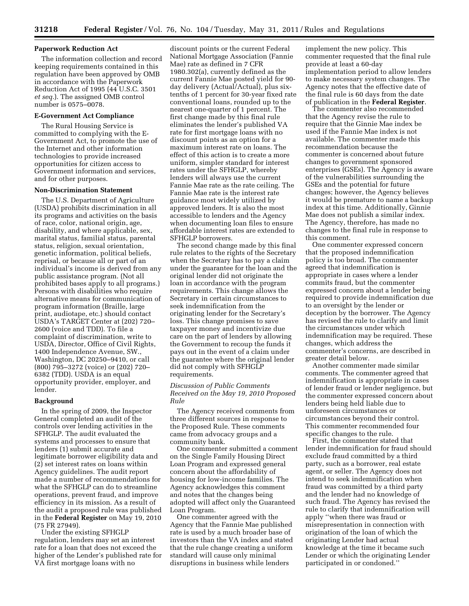## **Paperwork Reduction Act**

The information collection and record keeping requirements contained in this regulation have been approved by OMB in accordance with the Paperwork Reduction Act of 1995 (44 U.S.C. 3501 *et seq.*). The assigned OMB control number is 0575–0078.

## **E-Government Act Compliance**

The Rural Housing Service is committed to complying with the E-Government Act, to promote the use of the Internet and other information technologies to provide increased opportunities for citizen access to Government information and services, and for other purposes.

## **Non-Discrimination Statement**

The U.S. Department of Agriculture (USDA) prohibits discrimination in all its programs and activities on the basis of race, color, national origin, age, disability, and where applicable, sex, marital status, familial status, parental status, religion, sexual orientation, genetic information, political beliefs, reprisal, or because all or part of an individual's income is derived from any public assistance program. (Not all prohibited bases apply to all programs.) Persons with disabilities who require alternative means for communication of program information (Braille, large print, audiotape, etc.) should contact USDA's TARGET Center at (202) 720– 2600 (voice and TDD). To file a complaint of discrimination, write to USDA, Director, Office of Civil Rights, 1400 Independence Avenue, SW., Washington, DC 20250–9410, or call (800) 795–3272 (voice) or (202) 720– 6382 (TDD). USDA is an equal opportunity provider, employer, and lender.

#### **Background**

In the spring of 2009, the Inspector General completed an audit of the controls over lending activities in the SFHGLP. The audit evaluated the systems and processes to ensure that lenders (1) submit accurate and legitimate borrower eligibility data and (2) set interest rates on loans within Agency guidelines. The audit report made a number of recommendations for what the SFHGLP can do to streamline operations, prevent fraud, and improve efficiency in its mission. As a result of the audit a proposed rule was published in the **Federal Register** on May 19, 2010 (75 FR 27949).

Under the existing SFHGLP regulation, lenders may set an interest rate for a loan that does not exceed the higher of the Lender's published rate for VA first mortgage loans with no

discount points or the current Federal National Mortgage Association (Fannie Mae) rate as defined in 7 CFR 1980.302(a), currently defined as the current Fannie Mae posted yield for 90 day delivery (Actual/Actual), plus sixtenths of 1 percent for 30-year fixed rate conventional loans, rounded up to the nearest one-quarter of 1 percent. The first change made by this final rule eliminates the lender's published VA rate for first mortgage loans with no discount points as an option for a maximum interest rate on loans. The effect of this action is to create a more uniform, simpler standard for interest rates under the SFHGLP, whereby lenders will always use the current Fannie Mae rate as the rate ceiling. The Fannie Mae rate is the interest rate guidance most widely utilized by approved lenders. It is also the most accessible to lenders and the Agency when documenting loan files to ensure affordable interest rates are extended to SFHGLP borrowers.

The second change made by this final rule relates to the rights of the Secretary when the Secretary has to pay a claim under the guarantee for the loan and the original lender did not originate the loan in accordance with the program requirements. This change allows the Secretary in certain circumstances to seek indemnification from the originating lender for the Secretary's loss. This change promises to save taxpayer money and incentivize due care on the part of lenders by allowing the Government to recoup the funds it pays out in the event of a claim under the guarantee where the original lender did not comply with SFHGLP requirements.

# *Discussion of Public Comments Received on the May 19, 2010 Proposed Rule*

The Agency received comments from three different sources in response to the Proposed Rule. These comments came from advocacy groups and a community bank.

One commenter submitted a comment on the Single Family Housing Direct Loan Program and expressed general concern about the affordability of housing for low-income families. The Agency acknowledges this comment and notes that the changes being adopted will affect only the Guaranteed Loan Program.

One commenter agreed with the Agency that the Fannie Mae published rate is used by a much broader base of investors than the VA index and stated that the rule change creating a uniform standard will cause only minimal disruptions in business while lenders

implement the new policy. This commenter requested that the final rule provide at least a 60-day implementation period to allow lenders to make necessary system changes. The Agency notes that the effective date of the final rule is 60 days from the date of publication in the **Federal Register**.

The commenter also recommended that the Agency revise the rule to require that the Ginnie Mae index be used if the Fannie Mae index is not available. The commenter made this recommendation because the commenter is concerned about future changes to government sponsored enterprises (GSEs). The Agency is aware of the vulnerabilities surrounding the GSEs and the potential for future changes; however, the Agency believes it would be premature to name a backup index at this time. Additionally, Ginnie Mae does not publish a similar index. The Agency, therefore, has made no changes to the final rule in response to this comment.

One commenter expressed concern that the proposed indemnification policy is too broad. The commenter agreed that indemnification is appropriate in cases where a lender commits fraud, but the commenter expressed concern about a lender being required to provide indemnification due to an oversight by the lender or deception by the borrower. The Agency has revised the rule to clarify and limit the circumstances under which indemnification may be required. These changes, which address the commenter's concerns, are described in greater detail below.

Another commenter made similar comments. The commenter agreed that indemnification is appropriate in cases of lender fraud or lender negligence, but the commenter expressed concern about lenders being held liable due to unforeseen circumstances or circumstances beyond their control. This commenter recommended four specific changes to the rule.

First, the commenter stated that lender indemnification for fraud should exclude fraud committed by a third party, such as a borrower, real estate agent, or seller. The Agency does not intend to seek indemnification when fraud was committed by a third party and the lender had no knowledge of such fraud. The Agency has revised the rule to clarify that indemnification will apply ''when there was fraud or misrepresentation in connection with origination of the loan of which the originating Lender had actual knowledge at the time it became such Lender or which the originating Lender participated in or condoned.''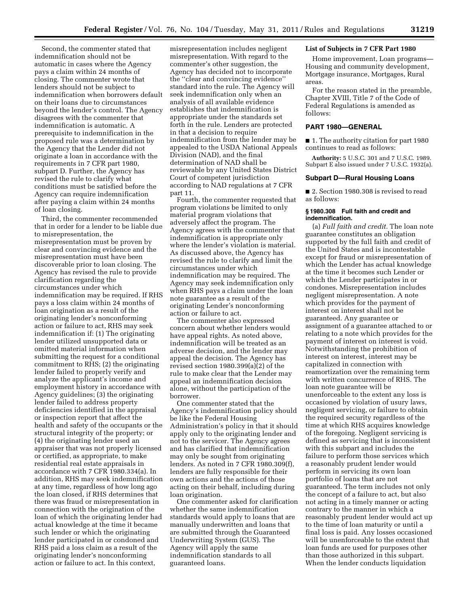Second, the commenter stated that indemnification should not be automatic in cases where the Agency pays a claim within 24 months of closing. The commenter wrote that lenders should not be subject to indemnification when borrowers default on their loans due to circumstances beyond the lender's control. The Agency disagrees with the commenter that indemnification is automatic. A prerequisite to indemnification in the proposed rule was a determination by the Agency that the Lender did not originate a loan in accordance with the requirements in 7 CFR part 1980, subpart D. Further, the Agency has revised the rule to clarify what conditions must be satisfied before the Agency can require indemnification after paying a claim within 24 months of loan closing.

Third, the commenter recommended that in order for a lender to be liable due to misrepresentation, the misrepresentation must be proven by clear and convincing evidence and the misrepresentation must have been discoverable prior to loan closing. The Agency has revised the rule to provide clarification regarding the circumstances under which indemnification may be required. If RHS pays a loss claim within 24 months of loan origination as a result of the originating lender's nonconforming action or failure to act, RHS may seek indemnification if: (1) The originating lender utilized unsupported data or omitted material information when submitting the request for a conditional commitment to RHS; (2) the originating lender failed to properly verify and analyze the applicant's income and employment history in accordance with Agency guidelines; (3) the originating lender failed to address property deficiencies identified in the appraisal or inspection report that affect the health and safety of the occupants or the structural integrity of the property; or (4) the originating lender used an appraiser that was not properly licensed or certified, as appropriate, to make residential real estate appraisals in accordance with 7 CFR 1980.334(a). In addition, RHS may seek indemnification at any time, regardless of how long ago the loan closed, if RHS determines that there was fraud or misrepresentation in connection with the origination of the loan of which the originating lender had actual knowledge at the time it became such lender or which the originating lender participated in or condoned and RHS paid a loss claim as a result of the originating lender's nonconforming action or failure to act. In this context,

misrepresentation includes negligent misrepresentation. With regard to the commenter's other suggestion, the Agency has decided not to incorporate the ''clear and convincing evidence'' standard into the rule. The Agency will seek indemnification only when an analysis of all available evidence establishes that indemnification is appropriate under the standards set forth in the rule. Lenders are protected in that a decision to require indemnification from the lender may be appealed to the USDA National Appeals Division (NAD), and the final determination of NAD shall be reviewable by any United States District Court of competent jurisdiction according to NAD regulations at 7 CFR part 11.

Fourth, the commenter requested that program violations be limited to only material program violations that adversely affect the program. The Agency agrees with the commenter that indemnification is appropriate only where the lender's violation is material. As discussed above, the Agency has revised the rule to clarify and limit the circumstances under which indemnification may be required. The Agency may seek indemnification only when RHS pays a claim under the loan note guarantee as a result of the originating Lender's nonconforming action or failure to act.

The commenter also expressed concern about whether lenders would have appeal rights. As noted above, indemnification will be treated as an adverse decision, and the lender may appeal the decision. The Agency has revised section 1980.399(a)(2) of the rule to make clear that the Lender may appeal an indemnification decision alone, without the participation of the borrower.

One commenter stated that the Agency's indemnification policy should be like the Federal Housing Administration's policy in that it should apply only to the originating lender and not to the servicer. The Agency agrees and has clarified that indemnification may only be sought from originating lenders. As noted in 7 CFR 1980.309(f), lenders are fully responsible for their own actions and the actions of those acting on their behalf, including during loan origination.

One commenter asked for clarification whether the same indemnification standards would apply to loans that are manually underwritten and loans that are submitted through the Guaranteed Underwriting System (GUS). The Agency will apply the same indemnification standards to all guaranteed loans.

# **List of Subjects in 7 CFR Part 1980**

Home improvement, Loan programs— Housing and community development, Mortgage insurance, Mortgages, Rural areas.

For the reason stated in the preamble, Chapter XVIII, Title 7 of the Code of Federal Regulations is amended as follows:

# **PART 1980—GENERAL**

■ 1. The authority citation for part 1980 continues to read as follows:

**Authority:** 5 U.S.C. 301 and 7 U.S.C. 1989. Subpart E also issued under 7 U.S.C. 1932(a).

# **Subpart D—Rural Housing Loans**

■ 2. Section 1980.308 is revised to read as follows:

# **§ 1980.308 Full faith and credit and indemnification.**

(a) *Full faith and credit.* The loan note guarantee constitutes an obligation supported by the full faith and credit of the United States and is incontestable except for fraud or misrepresentation of which the Lender has actual knowledge at the time it becomes such Lender or which the Lender participates in or condones. Misrepresentation includes negligent misrepresentation. A note which provides for the payment of interest on interest shall not be guaranteed. Any guarantee or assignment of a guarantee attached to or relating to a note which provides for the payment of interest on interest is void. Notwithstanding the prohibition of interest on interest, interest may be capitalized in connection with reamortization over the remaining term with written concurrence of RHS. The loan note guarantee will be unenforceable to the extent any loss is occasioned by violation of usury laws, negligent servicing, or failure to obtain the required security regardless of the time at which RHS acquires knowledge of the foregoing. Negligent servicing is defined as servicing that is inconsistent with this subpart and includes the failure to perform those services which a reasonably prudent lender would perform in servicing its own loan portfolio of loans that are not guaranteed. The term includes not only the concept of a failure to act, but also not acting in a timely manner or acting contrary to the manner in which a reasonably prudent lender would act up to the time of loan maturity or until a final loss is paid. Any losses occasioned will be unenforceable to the extent that loan funds are used for purposes other than those authorized in this subpart. When the lender conducts liquidation